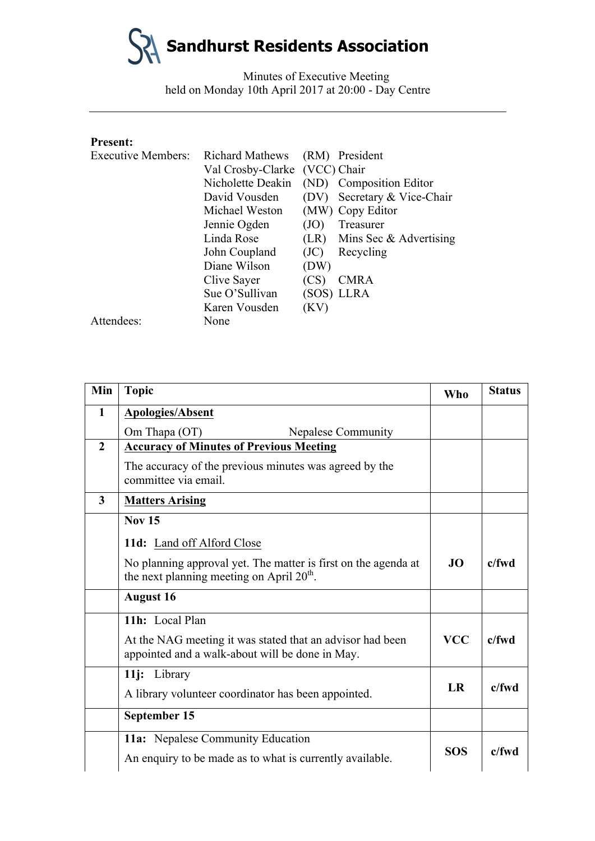Minutes of Executive Meeting held on Monday 10th April 2017 at 20:00 - Day Centre

#### **Present:**

| <b>Executive Members:</b> | <b>Richard Mathews</b>        |      | (RM) President                |
|---------------------------|-------------------------------|------|-------------------------------|
|                           | Val Crosby-Clarke (VCC) Chair |      |                               |
|                           | Nicholette Deakin             |      | (ND) Composition Editor       |
|                           | David Vousden                 |      | (DV) Secretary & Vice-Chair   |
|                           | Michael Weston                |      | (MW) Copy Editor              |
|                           | Jennie Ogden                  | (JO) | Treasurer                     |
|                           | Linda Rose                    |      | $(LR)$ Mins Sec & Advertising |
|                           | John Coupland                 | (JC) | Recycling                     |
|                           | Diane Wilson                  | (DW) |                               |
|                           | Clive Sayer                   | (CS) | <b>CMRA</b>                   |
|                           | Sue O'Sullivan                |      | (SOS) LLRA                    |
|                           | Karen Vousden                 | (KV) |                               |
| Attendees:                | None                          |      |                               |

| Min                     | <b>Topic</b>                                                                                                  | <b>Who</b> | <b>Status</b> |
|-------------------------|---------------------------------------------------------------------------------------------------------------|------------|---------------|
| 1                       | <b>Apologies/Absent</b>                                                                                       |            |               |
|                         | Om Thapa (OT)<br><b>Nepalese Community</b>                                                                    |            |               |
| $\overline{2}$          | <b>Accuracy of Minutes of Previous Meeting</b>                                                                |            |               |
|                         | The accuracy of the previous minutes was agreed by the<br>committee via email.                                |            |               |
| $\overline{\mathbf{3}}$ | <b>Matters Arising</b>                                                                                        |            |               |
|                         | <b>Nov 15</b>                                                                                                 |            |               |
|                         | 11d: Land off Alford Close                                                                                    |            |               |
|                         | No planning approval yet. The matter is first on the agenda at<br>the next planning meeting on April $20th$ . | JO.        | $c$ /fwd      |
|                         | <b>August 16</b>                                                                                              |            |               |
|                         | 11h: Local Plan                                                                                               |            |               |
|                         | At the NAG meeting it was stated that an advisor had been<br>appointed and a walk-about will be done in May.  | <b>VCC</b> | $c$ /fwd      |
|                         | 11j: Library                                                                                                  |            |               |
|                         | A library volunteer coordinator has been appointed.                                                           | LR         | $c$ /fwd      |
|                         | September 15                                                                                                  |            |               |
|                         | 11a: Nepalese Community Education                                                                             |            |               |
|                         | An enquiry to be made as to what is currently available.                                                      | <b>SOS</b> | $c$ /fwd      |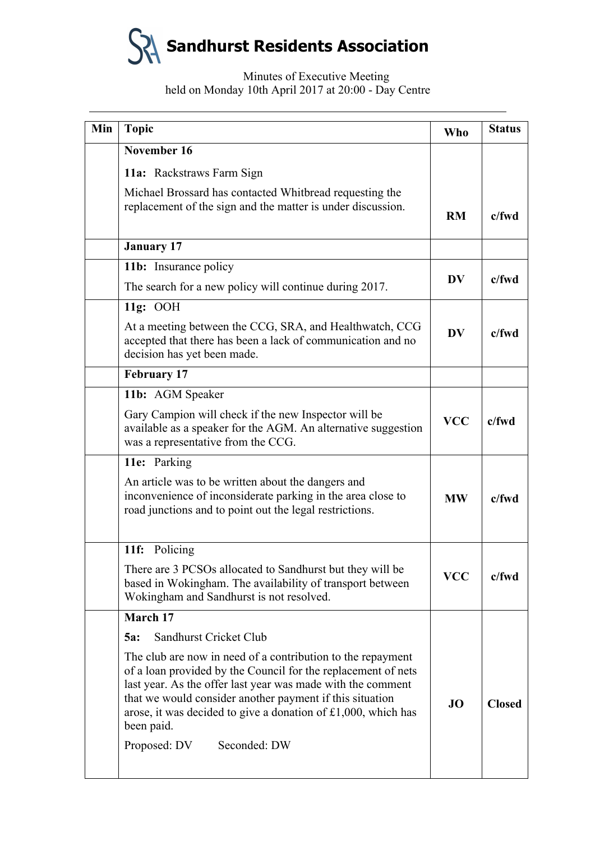# Minutes of Executive Meeting held on Monday 10th April 2017 at 20:00 - Day Centre

| Min | <b>Topic</b>                                                                                                                                                                                                                                                                                                                           | <b>Who</b>                        | <b>Status</b> |
|-----|----------------------------------------------------------------------------------------------------------------------------------------------------------------------------------------------------------------------------------------------------------------------------------------------------------------------------------------|-----------------------------------|---------------|
|     | November 16                                                                                                                                                                                                                                                                                                                            |                                   |               |
|     | 11a: Rackstraws Farm Sign                                                                                                                                                                                                                                                                                                              |                                   |               |
|     | Michael Brossard has contacted Whitbread requesting the<br>replacement of the sign and the matter is under discussion.                                                                                                                                                                                                                 | <b>RM</b>                         | $c$ /fwd      |
|     | <b>January 17</b>                                                                                                                                                                                                                                                                                                                      |                                   |               |
|     | 11b: Insurance policy                                                                                                                                                                                                                                                                                                                  |                                   |               |
|     | The search for a new policy will continue during 2017.                                                                                                                                                                                                                                                                                 | <b>DV</b>                         | $c$ /fwd      |
|     | 11g: OOH                                                                                                                                                                                                                                                                                                                               |                                   |               |
|     | At a meeting between the CCG, SRA, and Healthwatch, CCG<br>accepted that there has been a lack of communication and no<br>decision has yet been made.                                                                                                                                                                                  | $\overline{\mathbf{D}}\mathbf{V}$ | $c$ /fwd      |
|     | <b>February 17</b>                                                                                                                                                                                                                                                                                                                     |                                   |               |
|     | 11b: AGM Speaker                                                                                                                                                                                                                                                                                                                       |                                   |               |
|     | Gary Campion will check if the new Inspector will be<br>available as a speaker for the AGM. An alternative suggestion<br>was a representative from the CCG.                                                                                                                                                                            | <b>VCC</b>                        | $c$ /fwd      |
|     | 11e: Parking                                                                                                                                                                                                                                                                                                                           |                                   |               |
|     | An article was to be written about the dangers and<br>inconvenience of inconsiderate parking in the area close to<br>road junctions and to point out the legal restrictions.                                                                                                                                                           | <b>MW</b>                         | $c$ /fwd      |
|     | 11f: Policing                                                                                                                                                                                                                                                                                                                          |                                   |               |
|     | There are 3 PCSOs allocated to Sandhurst but they will be<br>based in Wokingham. The availability of transport between<br>Wokingham and Sandhurst is not resolved.                                                                                                                                                                     | <b>VCC</b>                        | $c$ /fwd      |
|     | March 17                                                                                                                                                                                                                                                                                                                               |                                   |               |
|     | Sandhurst Cricket Club<br>5a:                                                                                                                                                                                                                                                                                                          |                                   |               |
|     | The club are now in need of a contribution to the repayment<br>of a loan provided by the Council for the replacement of nets<br>last year. As the offer last year was made with the comment<br>that we would consider another payment if this situation<br>arose, it was decided to give a donation of £1,000, which has<br>been paid. | JO                                | <b>Closed</b> |
|     | Seconded: DW<br>Proposed: DV                                                                                                                                                                                                                                                                                                           |                                   |               |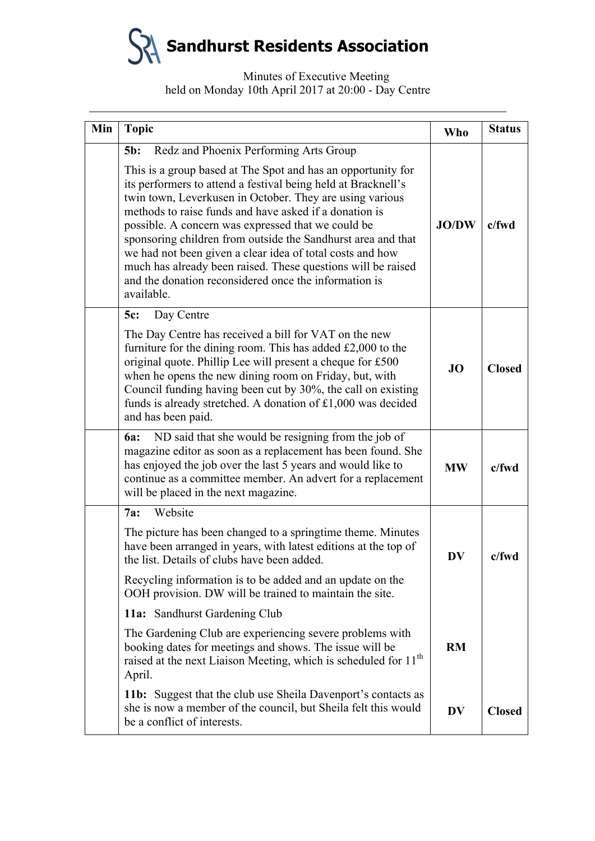# Minutes of Executive Meeting held on Monday 10th April 2017 at 20:00 - Day Centre

| Min | <b>Topic</b>                                                                                                                                                                                                                                                                                                                                                                                                                                                                                                  | <b>Who</b>   | <b>Status</b> |
|-----|---------------------------------------------------------------------------------------------------------------------------------------------------------------------------------------------------------------------------------------------------------------------------------------------------------------------------------------------------------------------------------------------------------------------------------------------------------------------------------------------------------------|--------------|---------------|
|     | Redz and Phoenix Performing Arts Group<br>$5b$ :<br>This is a group based at The Spot and has an opportunity for                                                                                                                                                                                                                                                                                                                                                                                              |              |               |
|     | its performers to attend a festival being held at Bracknell's<br>twin town, Leverkusen in October. They are using various<br>methods to raise funds and have asked if a donation is<br>possible. A concern was expressed that we could be<br>sponsoring children from outside the Sandhurst area and that<br>we had not been given a clear idea of total costs and how<br>much has already been raised. These questions will be raised<br>and the donation reconsidered once the information is<br>available. | <b>JO/DW</b> | $c$ /fwd      |
|     | Day Centre<br>5c:                                                                                                                                                                                                                                                                                                                                                                                                                                                                                             |              |               |
|     | The Day Centre has received a bill for VAT on the new<br>furniture for the dining room. This has added $£2,000$ to the<br>original quote. Phillip Lee will present a cheque for £500<br>when he opens the new dining room on Friday, but, with<br>Council funding having been cut by 30%, the call on existing<br>funds is already stretched. A donation of £1,000 was decided<br>and has been paid.                                                                                                          | <b>JO</b>    | <b>Closed</b> |
|     | ND said that she would be resigning from the job of<br><b>6a:</b><br>magazine editor as soon as a replacement has been found. She<br>has enjoyed the job over the last 5 years and would like to<br>continue as a committee member. An advert for a replacement<br>will be placed in the next magazine.                                                                                                                                                                                                       | <b>MW</b>    | $c$ /fwd      |
|     | Website<br>7a:                                                                                                                                                                                                                                                                                                                                                                                                                                                                                                |              |               |
|     | The picture has been changed to a springtime theme. Minutes<br>have been arranged in years, with latest editions at the top of<br>the list. Details of clubs have been added.                                                                                                                                                                                                                                                                                                                                 | <b>DV</b>    | $c$ /fwd      |
|     | Recycling information is to be added and an update on the<br>OOH provision. DW will be trained to maintain the site.                                                                                                                                                                                                                                                                                                                                                                                          |              |               |
|     | 11a: Sandhurst Gardening Club                                                                                                                                                                                                                                                                                                                                                                                                                                                                                 |              |               |
|     | The Gardening Club are experiencing severe problems with<br>booking dates for meetings and shows. The issue will be<br>raised at the next Liaison Meeting, which is scheduled for 11 <sup>th</sup><br>April.                                                                                                                                                                                                                                                                                                  | <b>RM</b>    |               |
|     | 11b: Suggest that the club use Sheila Davenport's contacts as<br>she is now a member of the council, but Sheila felt this would<br>be a conflict of interests.                                                                                                                                                                                                                                                                                                                                                | <b>DV</b>    | <b>Closed</b> |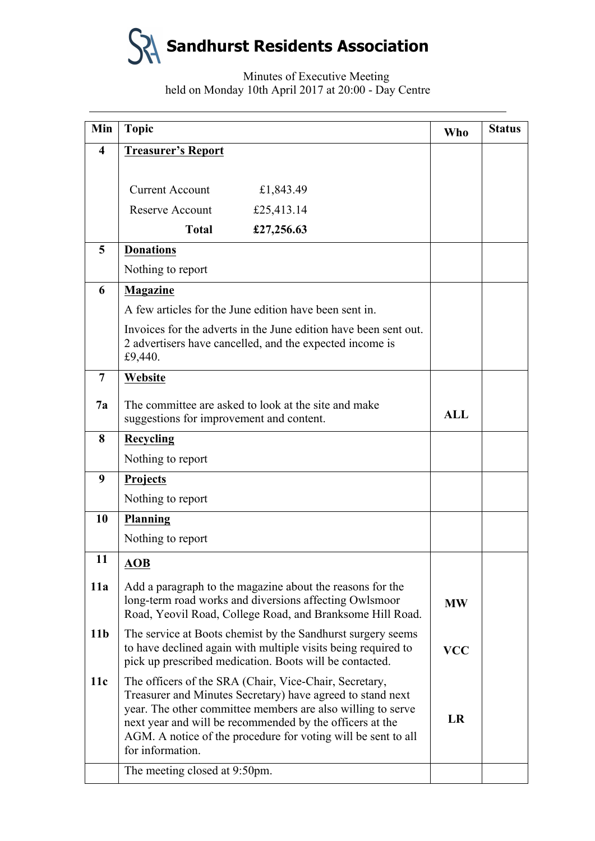

# Minutes of Executive Meeting held on Monday 10th April 2017 at 20:00 - Day Centre

| Min                     | <b>Topic</b>                                                                                                                                                                                                                                                                                                                         | <b>Who</b> | <b>Status</b> |
|-------------------------|--------------------------------------------------------------------------------------------------------------------------------------------------------------------------------------------------------------------------------------------------------------------------------------------------------------------------------------|------------|---------------|
| $\overline{\mathbf{4}}$ | <b>Treasurer's Report</b>                                                                                                                                                                                                                                                                                                            |            |               |
|                         |                                                                                                                                                                                                                                                                                                                                      |            |               |
|                         | <b>Current Account</b><br>£1,843.49                                                                                                                                                                                                                                                                                                  |            |               |
|                         | <b>Reserve Account</b><br>£25,413.14                                                                                                                                                                                                                                                                                                 |            |               |
|                         | <b>Total</b><br>£27,256.63                                                                                                                                                                                                                                                                                                           |            |               |
| 5                       | <b>Donations</b>                                                                                                                                                                                                                                                                                                                     |            |               |
|                         | Nothing to report                                                                                                                                                                                                                                                                                                                    |            |               |
| 6                       | <b>Magazine</b>                                                                                                                                                                                                                                                                                                                      |            |               |
|                         | A few articles for the June edition have been sent in.                                                                                                                                                                                                                                                                               |            |               |
|                         | Invoices for the adverts in the June edition have been sent out.<br>2 advertisers have cancelled, and the expected income is<br>£9,440.                                                                                                                                                                                              |            |               |
| $\overline{7}$          | Website                                                                                                                                                                                                                                                                                                                              |            |               |
| 7a                      | The committee are asked to look at the site and make<br>suggestions for improvement and content.                                                                                                                                                                                                                                     | <b>ALL</b> |               |
| 8                       | <b>Recycling</b>                                                                                                                                                                                                                                                                                                                     |            |               |
|                         | Nothing to report                                                                                                                                                                                                                                                                                                                    |            |               |
| 9                       | Projects                                                                                                                                                                                                                                                                                                                             |            |               |
|                         | Nothing to report                                                                                                                                                                                                                                                                                                                    |            |               |
| <b>10</b>               | <b>Planning</b>                                                                                                                                                                                                                                                                                                                      |            |               |
|                         | Nothing to report                                                                                                                                                                                                                                                                                                                    |            |               |
| 11                      | $\overline{AOB}$                                                                                                                                                                                                                                                                                                                     |            |               |
| 11a                     | Add a paragraph to the magazine about the reasons for the<br>long-term road works and diversions affecting Owlsmoor<br>Road, Yeovil Road, College Road, and Branksome Hill Road.                                                                                                                                                     | <b>MW</b>  |               |
| 11 <sub>b</sub>         | The service at Boots chemist by the Sandhurst surgery seems<br>to have declined again with multiple visits being required to<br>pick up prescribed medication. Boots will be contacted.                                                                                                                                              | <b>VCC</b> |               |
| 11c                     | The officers of the SRA (Chair, Vice-Chair, Secretary,<br>Treasurer and Minutes Secretary) have agreed to stand next<br>year. The other committee members are also willing to serve<br>next year and will be recommended by the officers at the<br>AGM. A notice of the procedure for voting will be sent to all<br>for information. | <b>LR</b>  |               |
|                         | The meeting closed at 9:50pm.                                                                                                                                                                                                                                                                                                        |            |               |